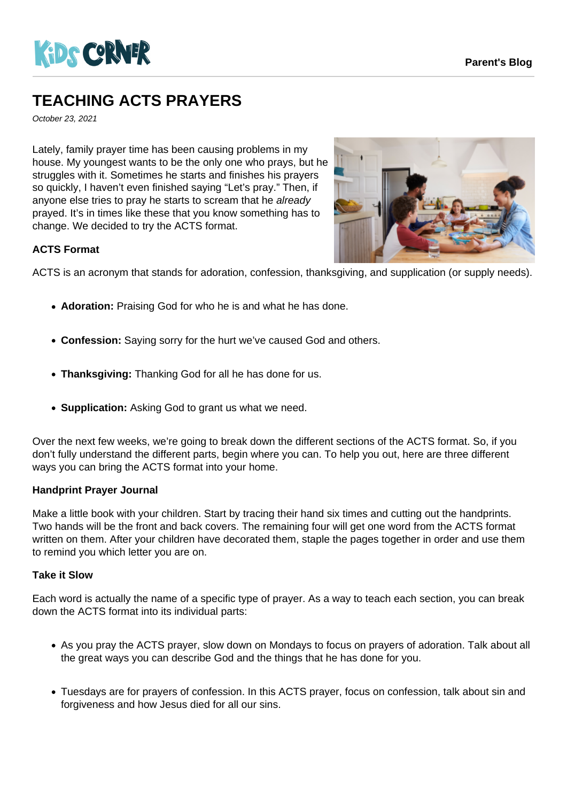

# **TEACHING ACTS PRAYERS**

October 23, 2021

Lately, family prayer time has been causing problems in my house. My youngest wants to be the only one who prays, but he struggles with it. Sometimes he starts and finishes his prayers so quickly, I haven't even finished saying "Let's pray." Then, if anyone else tries to pray he starts to scream that he already prayed. It's in times like these that you know something has to change. We decided to try the ACTS format.



## **ACTS Format**

ACTS is an acronym that stands for adoration, confession, thanksgiving, and supplication (or supply needs).

- Adoration: Praising God for who he is and what he has done.
- **Confession:** Saying sorry for the hurt we've caused God and others.
- **Thanksgiving:** Thanking God for all he has done for us.
- **Supplication:** Asking God to grant us what we need.

Over the next few weeks, we're going to break down the different sections of the ACTS format. So, if you don't fully understand the different parts, begin where you can. To help you out, here are three different ways you can bring the ACTS format into your home.

## **Handprint Prayer Journal**

Make a little book with your children. Start by tracing their hand six times and cutting out the handprints. Two hands will be the front and back covers. The remaining four will get one word from the ACTS format written on them. After your children have decorated them, staple the pages together in order and use them to remind you which letter you are on.

## **Take it Slow**

Each word is actually the name of a specific type of prayer. As a way to teach each section, you can break down the ACTS format into its individual parts:

- As you pray the ACTS prayer, slow down on Mondays to focus on prayers of adoration. Talk about all the great ways you can describe God and the things that he has done for you.
- Tuesdays are for prayers of confession. In this ACTS prayer, focus on confession, talk about sin and forgiveness and how Jesus died for all our sins.